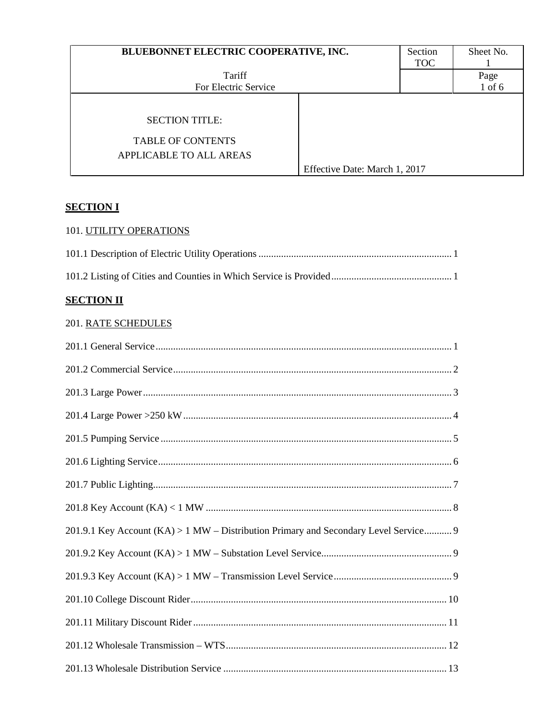| BLUEBONNET ELECTRIC COOPERATIVE, INC. |                               | Section    | Sheet No.  |
|---------------------------------------|-------------------------------|------------|------------|
|                                       |                               | <b>TOC</b> |            |
| Tariff                                |                               |            | Page       |
| For Electric Service                  |                               |            | $1$ of $6$ |
|                                       |                               |            |            |
| <b>SECTION TITLE:</b>                 |                               |            |            |
| <b>TABLE OF CONTENTS</b>              |                               |            |            |
| APPLICABLE TO ALL AREAS               |                               |            |            |
|                                       | Effective Date: March 1, 2017 |            |            |

## **SECTION I**

# 101. UTILITY OPERATIONS

## **SECTION II**

## 201. RATE SCHEDULES

| 201.9.1 Key Account (KA) > 1 MW - Distribution Primary and Secondary Level Service 9 |
|--------------------------------------------------------------------------------------|
|                                                                                      |
|                                                                                      |
|                                                                                      |
|                                                                                      |
|                                                                                      |
|                                                                                      |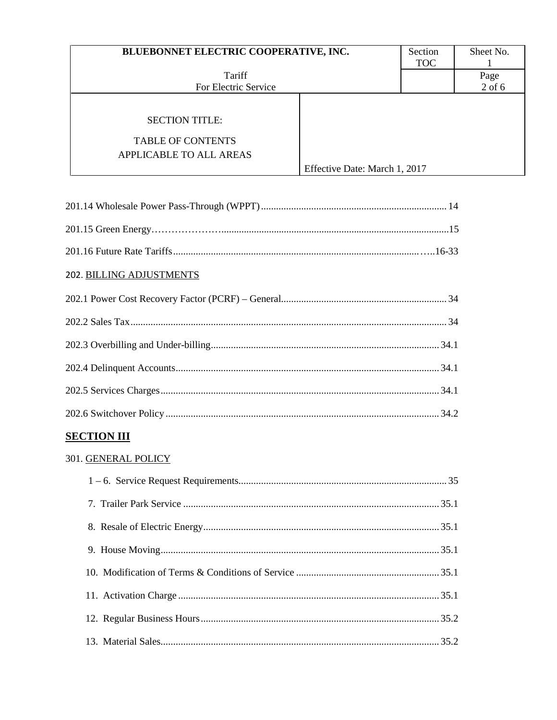| BLUEBONNET ELECTRIC COOPERATIVE, INC.                                        |                               | Section    | Sheet No. |
|------------------------------------------------------------------------------|-------------------------------|------------|-----------|
| Tariff                                                                       |                               | <b>TOC</b> | Page      |
| For Electric Service                                                         |                               |            | $2$ of 6  |
| <b>SECTION TITLE:</b><br><b>TABLE OF CONTENTS</b><br>APPLICABLE TO ALL AREAS | Effective Date: March 1, 2017 |            |           |

| 202. BILLING ADJUSTMENTS |
|--------------------------|
|                          |
|                          |
|                          |
|                          |
|                          |
|                          |
| <b>SECTION III</b>       |
| 301. GENERAL POLICY      |
|                          |
|                          |
|                          |
|                          |
|                          |
|                          |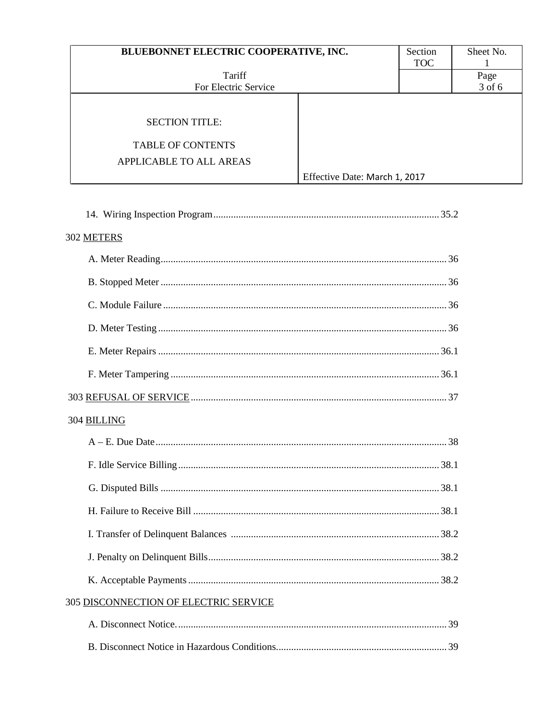| BLUEBONNET ELECTRIC COOPERATIVE, INC.                                        |                               | Section<br><b>TOC</b> | Sheet No.      |
|------------------------------------------------------------------------------|-------------------------------|-----------------------|----------------|
| Tariff<br>For Electric Service                                               |                               |                       | Page<br>3 of 6 |
| <b>SECTION TITLE:</b><br><b>TABLE OF CONTENTS</b><br>APPLICABLE TO ALL AREAS | Effective Date: March 1, 2017 |                       |                |

| 302 METERS                            |
|---------------------------------------|
|                                       |
|                                       |
|                                       |
|                                       |
|                                       |
|                                       |
|                                       |
| 304 BILLING                           |
|                                       |
|                                       |
|                                       |
|                                       |
|                                       |
|                                       |
|                                       |
| 305 DISCONNECTION OF ELECTRIC SERVICE |
|                                       |
|                                       |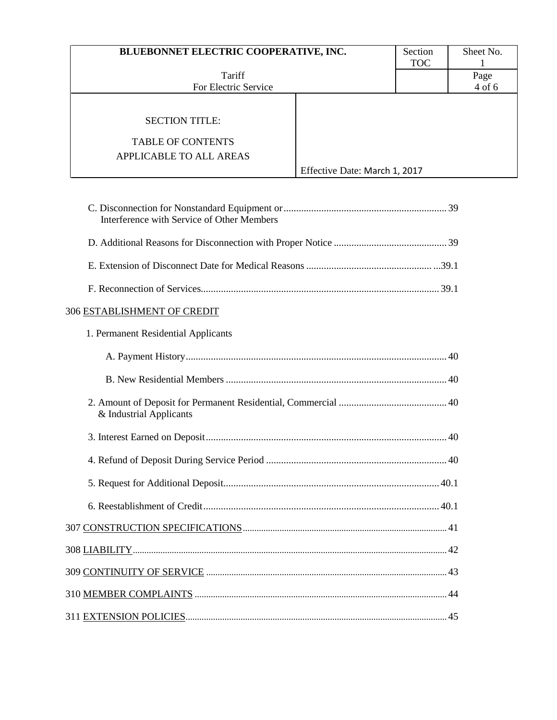| BLUEBONNET ELECTRIC COOPERATIVE, INC.                                        |                               | Section<br><b>TOC</b> | Sheet No.      |
|------------------------------------------------------------------------------|-------------------------------|-----------------------|----------------|
| Tariff<br>For Electric Service                                               |                               |                       | Page<br>4 of 6 |
| <b>SECTION TITLE:</b><br><b>TABLE OF CONTENTS</b><br>APPLICABLE TO ALL AREAS | Effective Date: March 1, 2017 |                       |                |

| Interference with Service of Other Members |
|--------------------------------------------|
|                                            |
|                                            |
|                                            |
| 306 ESTABLISHMENT OF CREDIT                |
| 1. Permanent Residential Applicants        |
|                                            |
|                                            |
| & Industrial Applicants                    |
|                                            |
|                                            |
|                                            |
|                                            |
|                                            |
|                                            |
|                                            |
|                                            |
|                                            |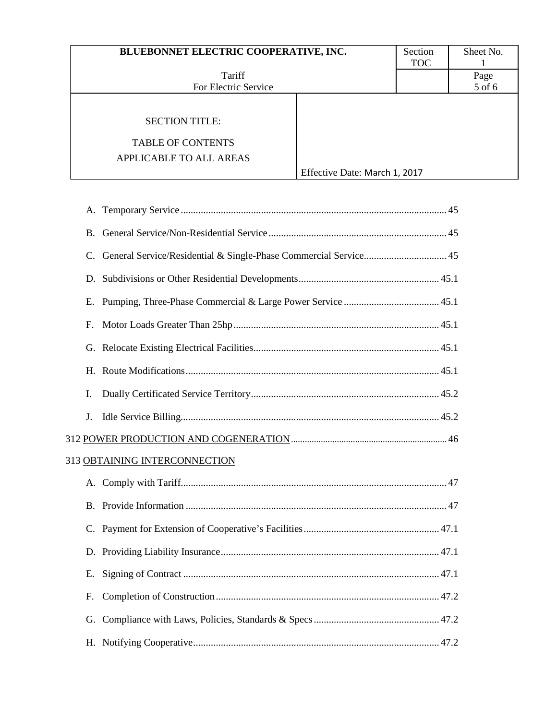| BLUEBONNET ELECTRIC COOPERATIVE, INC.                                               |                               | Section<br><b>TOC</b> | Sheet No.      |
|-------------------------------------------------------------------------------------|-------------------------------|-----------------------|----------------|
| Tariff<br>For Electric Service                                                      |                               |                       | Page<br>5 of 6 |
| <b>SECTION TITLE:</b><br><b>TABLE OF CONTENTS</b><br><b>APPLICABLE TO ALL AREAS</b> | Effective Date: March 1, 2017 |                       |                |

| <b>B.</b> |                                                                     |
|-----------|---------------------------------------------------------------------|
|           | C. General Service/Residential & Single-Phase Commercial Service 45 |
|           |                                                                     |
| Ε.        |                                                                     |
| F.        |                                                                     |
|           |                                                                     |
|           |                                                                     |
| I.        |                                                                     |
| J.        |                                                                     |
|           |                                                                     |
|           | 313 OBTAINING INTERCONNECTION                                       |
|           |                                                                     |
| B.        |                                                                     |
| C.        |                                                                     |
|           |                                                                     |
| E.        |                                                                     |
| F.        |                                                                     |
|           |                                                                     |
|           |                                                                     |